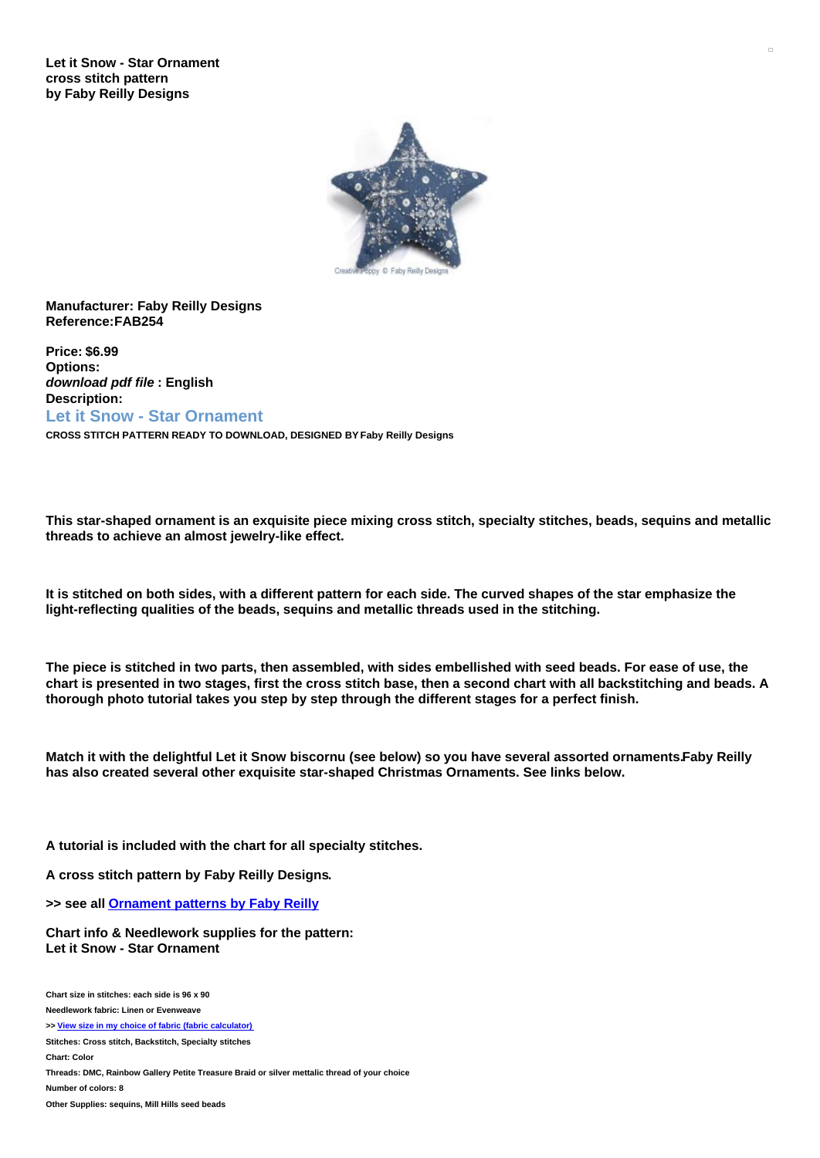**Let it Snow - Star Ornament cross stitch pattern by Faby Reilly Designs**



## **Manufacturer: Faby Reilly Designs Reference:FAB254**

**Price: \$6.99 Options:** *download pdf file* **: English Description: Let it Snow - Star Ornament**

**CROSS STITCH PATTERN READY TO DOWNLOAD, DESIGNED BY Faby Reilly Designs**

This star-shaped ornament is an exquisite piece mixing cross stitch, specialty stitches, beads, sequins and metallic **threads to achieve an almost jewelry-like effect.**

It is stitched on both sides, with a different pattern for each side. The curved shapes of the star emphasize the **light-reflecting qualities of the beads, sequins and metallic threads used in the stitching.**

The piece is stitched in two parts, then assembled, with sides embellished with seed beads. For ease of use, the chart is presented in two stages, first the cross stitch base, then a second chart with all backstitching and beads. A **thorough photo tutorial takes you step by step through the different stages for a perfect finish.**

Match it with the delightful Let it Snow biscornu (see below) so you have several assorted ornaments.Faby Reilly **has also created several other exquisite star-shaped Christmas Ornaments. See links below.**

**A tutorial is included with the chart for all specialty stitches.**

**A cross stitch pattern by Faby Reilly Designs.**

**>> see all [Ornament](https://www.creativepoppypatterns.com/christmas-ornament-patterns-xsl-296_392_393.html) patterns by Faby Reilly**

**Chart info & Needlework supplies for the pattern: Let it Snow - Star Ornament**

**Chart size in stitches: each side is 96 x 90**

**Needlework fabric: Linen or Evenweave**

**>> View size in my choice of fabric (fabric [calculator\)](https://www.creativepoppypatterns.com/calculette-de-toile.php?products_id=3424&w=96&h=90)**

**Stitches: Cross stitch, Backstitch, Specialty stitches**

**Chart: Color**

**Threads: DMC, Rainbow Gallery Petite Treasure Braid or silver mettalic thread of your choice**

**Number of colors: 8**

**Other Supplies: sequins, Mill Hills seed beads**